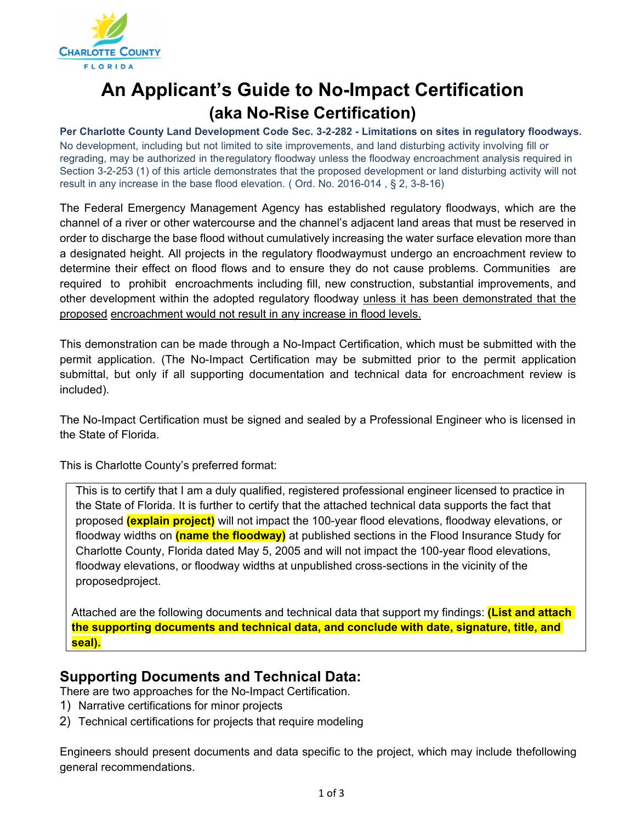

# **An Applicant's Guide to No-Impact Certification (aka No-Rise Certification)**

**Per Charlotte County Land Development Code Sec. 3-2-282 - Limitations on sites in regulatory floodways.**  No development, including but not limited to site improvements, and land disturbing activity involving fill or regrading, may be authorized in the regulatory floodway unless the floodway encroachment analysis required in Section 3-2-253 (1) of this article demonstrates that the proposed development or land disturbing activity will not result in any increase in the base flood elevation. ( Ord. No. 2016-014 , § 2, 3-8-16)

The Federal Emergency Management Agency has established regulatory floodways, which are the channel of a river or other watercourse and the channel's adjacent land areas that must be reserved in order to discharge the base flood without cumulatively increasing the water surface elevation more than a designated height. All projects in the regulatory floodwaymust undergo an encroachment review to determine their effect on flood flows and to ensure they do not cause problems. Communities are required to prohibit encroachments including fill, new construction, substantial improvements, and other development within the adopted regulatory floodway unless it has been demonstrated that the proposed encroachment would not result in any increase in flood levels.

This demonstration can be made through a No-Impact Certification, which must be submitted with the permit application. (The No-Impact Certification may be submitted prior to the permit application submittal, but only if all supporting documentation and technical data for encroachment review is included).

The No-Impact Certification must be signed and sealed by a Professional Engineer who is licensed in the State of Florida.

This is Charlotte County's preferred format:

This is to certify that I am a duly qualified, registered professional engineer licensed to practice in the State of Florida. It is further to certify that the attached technical data supports the fact that proposed **(explain project)** will not impact the 100-year flood elevations, floodway elevations, or floodway widths on **(name the floodway)** at published sections in the Flood Insurance Study for Charlotte County, Florida dated May 5, 2005 and will not impact the 100-year flood elevations, floodway elevations, or floodway widths at unpublished cross-sections in the vicinity of the proposed project.

Attached are the following documents and technical data that support my findings: **(List and attach the supporting documents and technical data, and conclude with date, signature, title, and seal).**

#### **Supporting Documents and Technical Data:**

There are two approaches for the No-Impact Certification.

- 1) Narrative certifications for minor projects
- 2) Technical certifications for projects that require modeling

Engineers should present documents and data specific to the project, which may include the following general recommendations.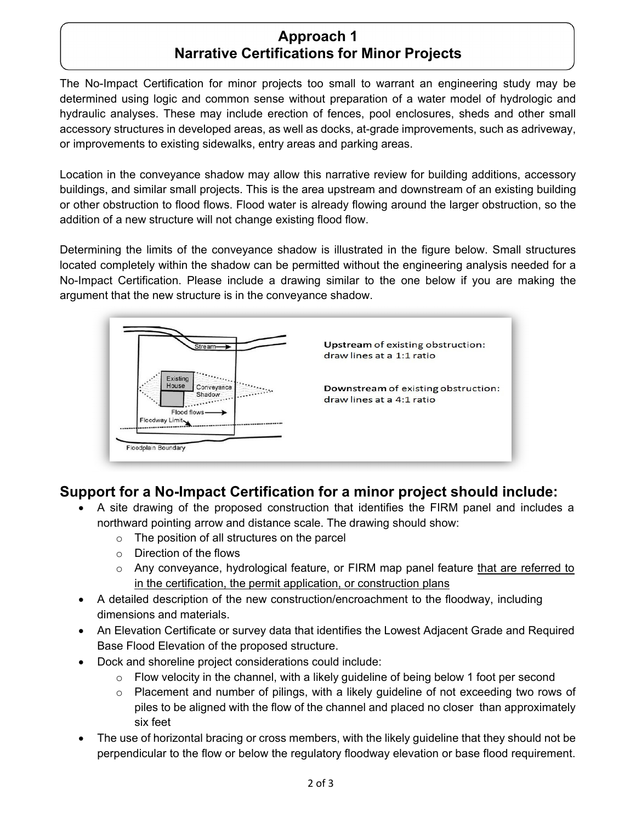### **Approach 1 Narrative Certifications for Minor Projects**

The No-Impact Certification for minor projects too small to warrant an engineering study may be determined using logic and common sense without preparation of a water model of hydrologic and hydraulic analyses. These may include erection of fences, pool enclosures, sheds and other small accessory structures in developed areas, as well as docks, at-grade improvements, such as adriveway, or improvements to existing sidewalks, entry areas and parking areas.

Location in the conveyance shadow may allow this narrative review for building additions, accessory buildings, and similar small projects. This is the area upstream and downstream of an existing building or other obstruction to flood flows. Flood water is already flowing around the larger obstruction, so the addition of a new structure will not change existing flood flow.

Determining the limits of the conveyance shadow is illustrated in the figure below. Small structures located completely within the shadow can be permitted without the engineering analysis needed for a No-Impact Certification. Please include a drawing similar to the one below if you are making the argument that the new structure is in the conveyance shadow.



# **Support for a No-Impact Certification for a minor project should include:**

- A site drawing of the proposed construction that identifies the FIRM panel and includes a northward pointing arrow and distance scale. The drawing should show:
	- o The position of all structures on the parcel
	- o Direction of the flows
	- $\circ$  Any conveyance, hydrological feature, or FIRM map panel feature that are referred to in the certification, the permit application, or construction plans
- A detailed description of the new construction/encroachment to the floodway, including dimensions and materials.
- An Elevation Certificate or survey data that identifies the Lowest Adjacent Grade and Required Base Flood Elevation of the proposed structure.
- Dock and shoreline project considerations could include:
	- $\circ$  Flow velocity in the channel, with a likely guideline of being below 1 foot per second
	- $\circ$  Placement and number of pilings, with a likely guideline of not exceeding two rows of piles to be aligned with the flow of the channel and placed no closer than approximately six feet
- The use of horizontal bracing or cross members, with the likely guideline that they should not be perpendicular to the flow or below the regulatory floodway elevation or base flood requirement.